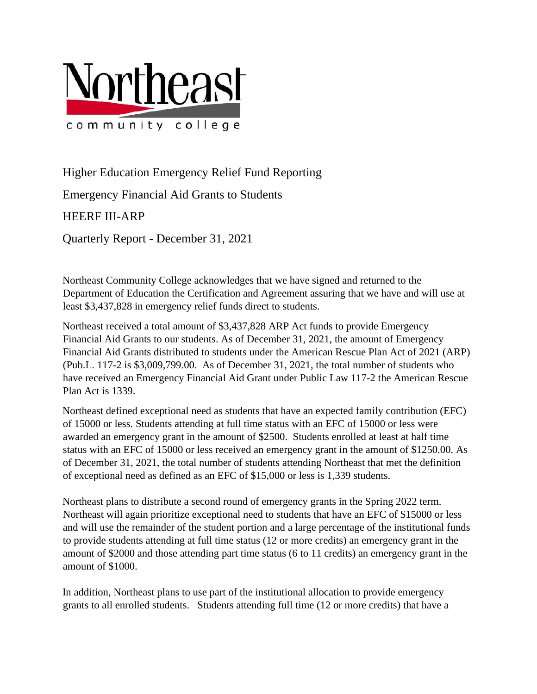

Higher Education Emergency Relief Fund Reporting

Emergency Financial Aid Grants to Students

## HEERF III-ARP

Quarterly Report - December 31, 2021

Northeast Community College acknowledges that we have signed and returned to the Department of Education the Certification and Agreement assuring that we have and will use at least \$3,437,828 in emergency relief funds direct to students.

Northeast received a total amount of \$3,437,828 ARP Act funds to provide Emergency Financial Aid Grants to our students. As of December 31, 2021, the amount of Emergency Financial Aid Grants distributed to students under the American Rescue Plan Act of 2021 (ARP) (Pub.L. 117-2 is \$3,009,799.00. As of December 31, 2021, the total number of students who have received an Emergency Financial Aid Grant under Public Law 117-2 the American Rescue Plan Act is 1339.

Northeast defined exceptional need as students that have an expected family contribution (EFC) of 15000 or less. Students attending at full time status with an EFC of 15000 or less were awarded an emergency grant in the amount of \$2500. Students enrolled at least at half time status with an EFC of 15000 or less received an emergency grant in the amount of \$1250.00. As of December 31, 2021, the total number of students attending Northeast that met the definition of exceptional need as defined as an EFC of \$15,000 or less is 1,339 students.

Northeast plans to distribute a second round of emergency grants in the Spring 2022 term. Northeast will again prioritize exceptional need to students that have an EFC of \$15000 or less and will use the remainder of the student portion and a large percentage of the institutional funds to provide students attending at full time status (12 or more credits) an emergency grant in the amount of \$2000 and those attending part time status (6 to 11 credits) an emergency grant in the amount of \$1000.

In addition, Northeast plans to use part of the institutional allocation to provide emergency grants to all enrolled students. Students attending full time (12 or more credits) that have a